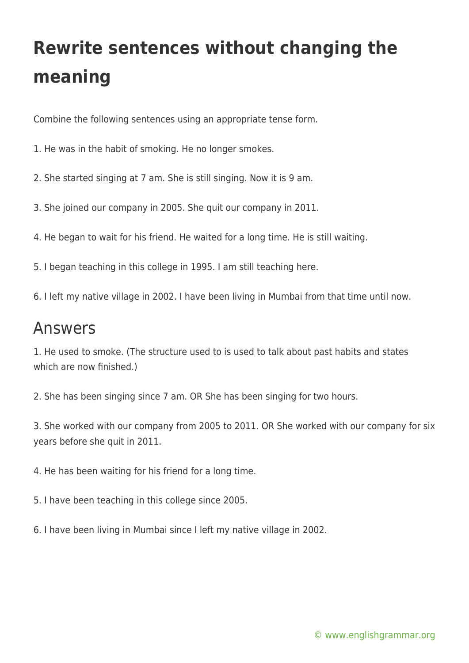## **Rewrite sentences without changing the meaning**

Combine the following sentences using an appropriate tense form.

1. He was in the habit of smoking. He no longer smokes.

2. She started singing at 7 am. She is still singing. Now it is 9 am.

3. She joined our company in 2005. She quit our company in 2011.

4. He began to wait for his friend. He waited for a long time. He is still waiting.

5. I began teaching in this college in 1995. I am still teaching here.

6. I left my native village in 2002. I have been living in Mumbai from that time until now.

## Answers

1. He used to smoke. (The structure used to is used to talk about past habits and states which are now finished.)

2. She has been singing since 7 am. OR She has been singing for two hours.

3. She worked with our company from 2005 to 2011. OR She worked with our company for six years before she quit in 2011.

4. He has been waiting for his friend for a long time.

5. I have been teaching in this college since 2005.

6. I have been living in Mumbai since I left my native village in 2002.